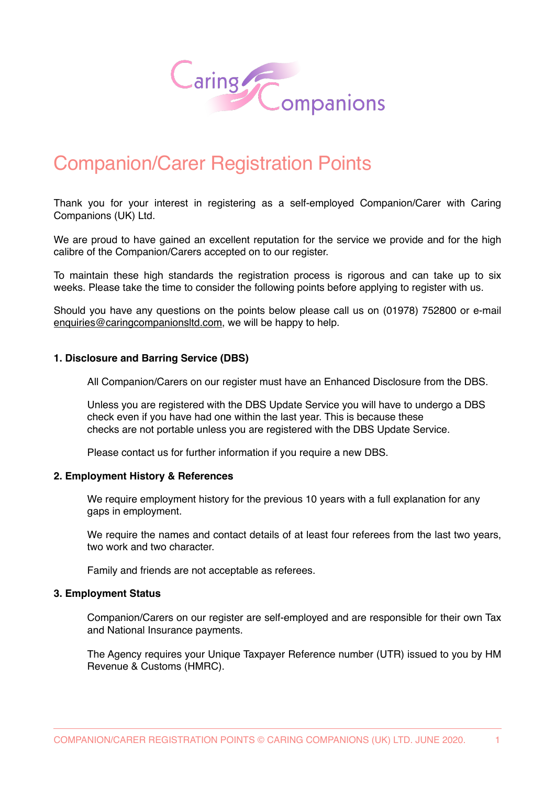

# Companion/Carer Registration Points

Thank you for your interest in registering as a self-employed Companion/Carer with Caring Companions (UK) Ltd.

We are proud to have gained an excellent reputation for the service we provide and for the high calibre of the Companion/Carers accepted on to our register.

To maintain these high standards the registration process is rigorous and can take up to six weeks. Please take the time to consider the following points before applying to register with us.

Should you have any questions on the points below please call us on (01978) 752800 or e-mail [enquiries@caringcompanionsltd.com](mailto:enquiries@caringcompanionsltd.com), we will be happy to help.

# **1. Disclosure and Barring Service (DBS)**

All Companion/Carers on our register must have an Enhanced Disclosure from the DBS.

Unless you are registered with the DBS Update Service you will have to undergo a DBS check even if you have had one within the last year. This is because these checks are not portable unless you are registered with the DBS Update Service.

Please contact us for further information if you require a new DBS.

# **2. Employment History & References**

We require employment history for the previous 10 years with a full explanation for any gaps in employment.

We require the names and contact details of at least four referees from the last two years, two work and two character.

Family and friends are not acceptable as referees.

#### **3. Employment Status**

Companion/Carers on our register are self-employed and are responsible for their own Tax and National Insurance payments.

The Agency requires your Unique Taxpayer Reference number (UTR) issued to you by HM Revenue & Customs (HMRC).